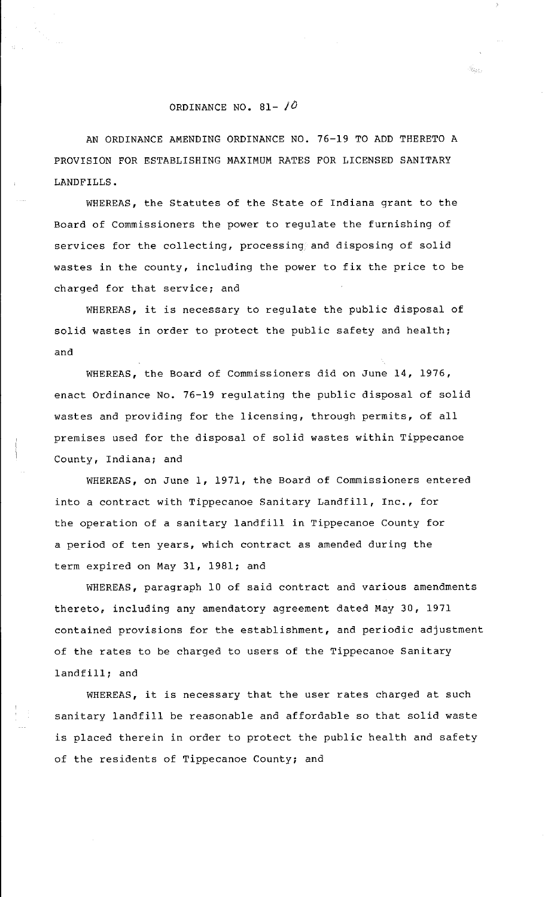## ORDINANCE NO. 81- */0*

AN ORDINANCE AMENDING ORDINANCE NO. 76-19 TO ADD THERETO A PROVISION FOR ESTABLISHING MAXIMUM RATES FOR LICENSED SANITARY LANDFILLS.

WHEREAS, the Statutes of the State of Indiana grant to the Board of Commissioners the power to regulate the furnishing of services for the collecting, processing and disposing of solid wastes in the county, including the power to fix the price to be charged for that service; and

WHEREAS, it is necessary to regulate the public disposal of solid wastes in order to protect the public safety and health; and

WHEREAS, the Board of Commissioners did on June 14, 1976, enact Ordinance No. 76-19 regulating the public disposal of solid wastes and providing for the licensing, through permits, of all premises used for the disposal of solid wastes within Tippecanoe County, Indiana; and

WHEREAS, on June 1, 1971, the Board of Commissioners entered into a contract with Tippecanoe Sanitary Landfill, Inc., for the operation of a sanitary landfill in Tippecanoe County for a period of ten years, which contract as amended during the term expired on May 31, 1981; and

WHEREAS, paragraph 10 of said contract and various amendments thereto, including any amendatory agreement dated May 30, 1971 contained provisions for the establishment, and periodic adjustment of the rates to be charged to users of the Tippecanoe Sanitary landfill; and

WHEREAS, it is necessary that the user rates charged at such sanitary landfill be reasonable and affordable so that solid waste is placed therein in order to protect the public health and safety of the residents of Tippecanoe County; and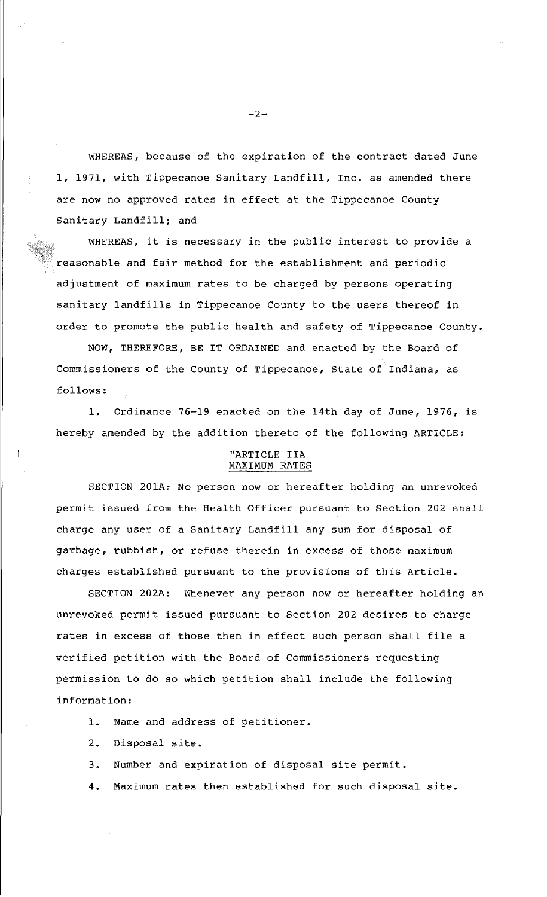WHEREAS, because of the expiration of the contract dated June 1, 1971, with Tippecanoe Sanitary Landfill, Inc. as amended there are now no approved rates in effect at the Tippecanoe County Sanitary Landfill; and

WHEREAS, it is necessary in the public interest to provide a reasonable and fair method for the establishment and periodic adjustment of maximum rates to be charged by persons operating sanitary landfills in Tippecanoe County to the users thereof in order to promote the public health and safety of Tippecanoe County.

NOW, THEREFORE, BE IT ORDAINED and enacted by the Board of Commissioners of the County of Tippecanoe, State of Indiana, as follows:

1. Ordinance 76-19 enacted on the 14th day of June, 1976, is hereby amended by the addition thereto of the following ARTICLE:

## "ARTICLE IIA MAXIMUM RATES

SECTION 201A: No person now or hereafter holding an unrevoked permit issued from the Health Officer pursuant to Section 202 shall charge any user of a Sanitary Landfill any sum for disposal of garbage, rubbish, or refuse therein in excess of those maximum charges established pursuant to the provisions of this Article.

SECTION 202A: Whenever any person now or hereafter holding an unrevoked permit issued pursuant to Section 202 desires to charge rates in excess of those then in effect such person shall file a verified petition with the Board of Commissioners requesting permission to do so which petition shall include the following information:

1. Name and address of petitioner.

2. Disposal site.

3. Number and expiration of disposal site permit.

4. Maximum rates then established for such disposal site.

 $-2-$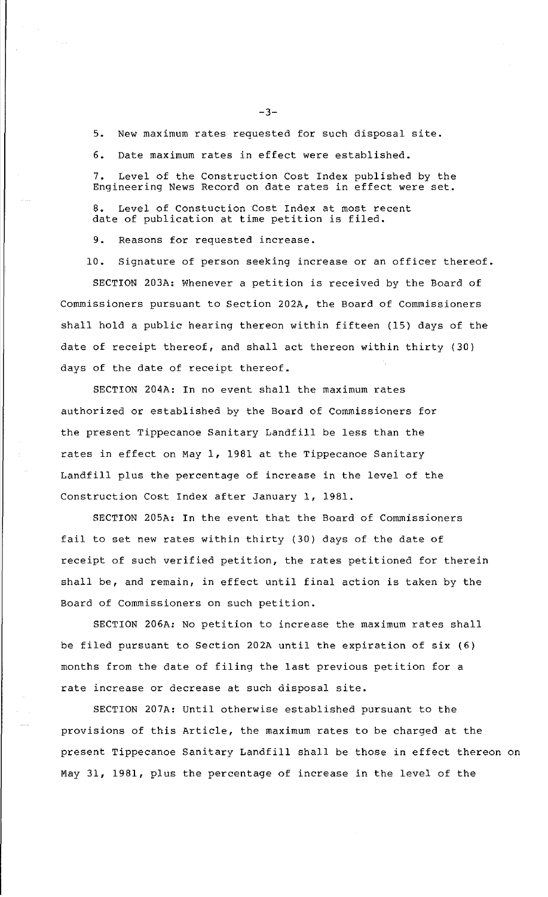5. New maximum rates requested for such disposal site.

6. Date maximum rates in effect were established.

7. Level of the Construction Cost Index published by the Engineering News Record on date rates in effect were set.

8. Level of Constuction Cost Index at most recent date of publication at time petition is filed.

9. Reasons for requested increase.

10. Signature of person seeking increase or an officer thereof.

SECTION 203A: Whenever a petition is received by the Board of Commissioners pursuant to Section 202A, the Board of Commissioners shall hold a public hearing thereon within fifteen (15) days of the date of receipt thereof, and shall act thereon within thirty (30) days of the date of receipt thereof.

SECTION 204A: In no event shall the maximum rates authorized or established by the Board of Commissioners for the present Tippecanoe Sanitary Landfill be less than the rates in effect on May 1, 1981 at the Tippecanoe Sanitary Landfill plus the percentage of increase in the level of the Construction Cost Index after January 1, 1981.

SECTION 205A: In the event that the Board of Commissioners fail to set new rates within thirty (30) days of the date of receipt of such verified petition, the rates petitioned for therein shall be, and remain, in effect until final action is taken by the Board of Commissioners on such petition.

SECTION 206A: No petition to increase the maximum rates shall be filed pursuant to Section 202A until the expiration of six (6) months from the date of filing the last previous petition for a rate increase or decrease at such disposal site.

SECTION 207A: Until otherwise established pursuant to the provisions of this Article, the maximum rates to be charged at the present Tippecanoe Sanitary Landfill shall be those in effect thereon on May 31, 1981, plus the percentage of increase in the level of the

 $-3-$